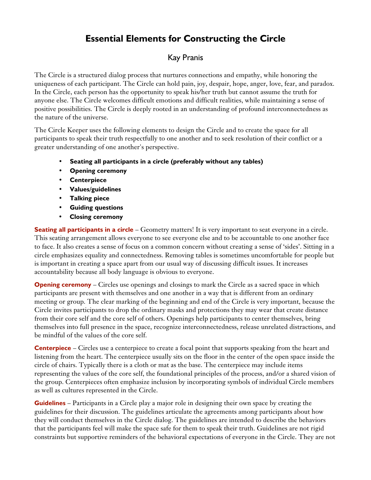## **Essential Elements for Constructing the Circle**

## Kay Pranis

The Circle is a structured dialog process that nurtures connections and empathy, while honoring the uniqueness of each participant. The Circle can hold pain, joy, despair, hope, anger, love, fear, and paradox. In the Circle, each person has the opportunity to speak his/her truth but cannot assume the truth for anyone else. The Circle welcomes difficult emotions and difficult realities, while maintaining a sense of positive possibilities. The Circle is deeply rooted in an understanding of profound interconnectedness as the nature of the universe.

The Circle Keeper uses the following elements to design the Circle and to create the space for all participants to speak their truth respectfully to one another and to seek resolution of their conflict or a greater understanding of one another's perspective.

- **Seating all participants in a circle (preferably without any tables)**
- **Opening ceremony**
- **Centerpiece**
- **Values/guidelines**
- **Talking piece**
- **Guiding questions**
- **Closing ceremony**

**Seating all participants in a circle** – Geometry matters! It is very important to seat everyone in a circle. This seating arrangement allows everyone to see everyone else and to be accountable to one another face to face. It also creates a sense of focus on a common concern without creating a sense of 'sides'. Sitting in a circle emphasizes equality and connectedness. Removing tables is sometimes uncomfortable for people but is important in creating a space apart from our usual way of discussing difficult issues. It increases accountability because all body language is obvious to everyone.

**Opening ceremony** – Circles use openings and closings to mark the Circle as a sacred space in which participants are present with themselves and one another in a way that is different from an ordinary meeting or group. The clear marking of the beginning and end of the Circle is very important, because the Circle invites participants to drop the ordinary masks and protections they may wear that create distance from their core self and the core self of others. Openings help participants to center themselves, bring themselves into full presence in the space, recognize interconnectedness, release unrelated distractions, and be mindful of the values of the core self.

**Centerpiece** – Circles use a centerpiece to create a focal point that supports speaking from the heart and listening from the heart. The centerpiece usually sits on the floor in the center of the open space inside the circle of chairs. Typically there is a cloth or mat as the base. The centerpiece may include items representing the values of the core self, the foundational principles of the process, and/or a shared vision of the group. Centerpieces often emphasize inclusion by incorporating symbols of individual Circle members as well as cultures represented in the Circle.

**Guidelines** – Participants in a Circle play a major role in designing their own space by creating the guidelines for their discussion. The guidelines articulate the agreements among participants about how they will conduct themselves in the Circle dialog. The guidelines are intended to describe the behaviors that the participants feel will make the space safe for them to speak their truth. Guidelines are not rigid constraints but supportive reminders of the behavioral expectations of everyone in the Circle. They are not